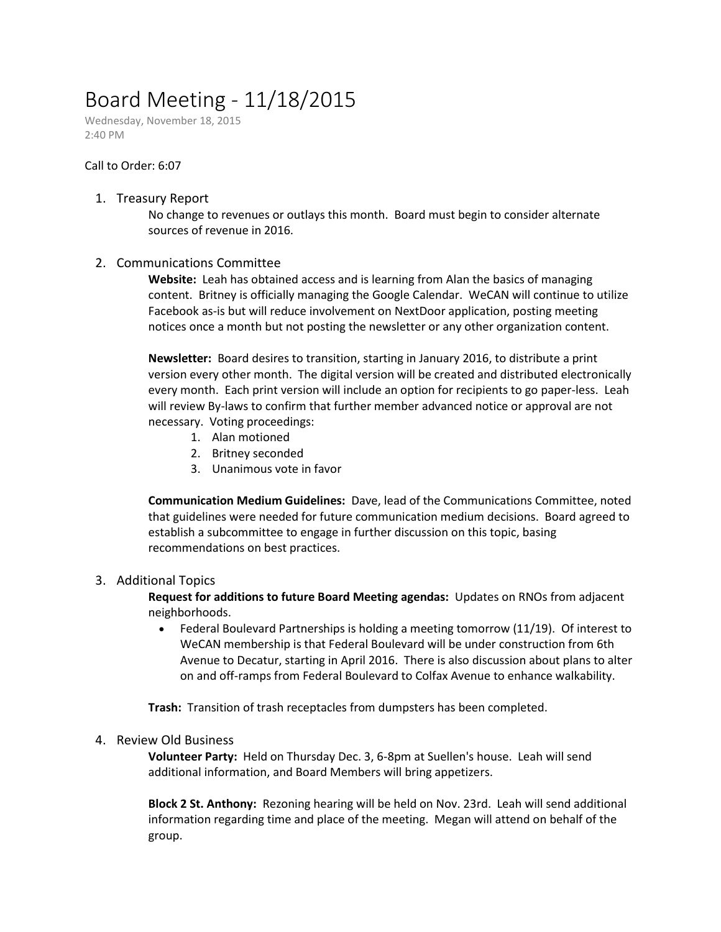# Board Meeting - 11/18/2015

Wednesday, November 18, 2015 2:40 PM

#### Call to Order: 6:07

#### 1. Treasury Report

No change to revenues or outlays this month. Board must begin to consider alternate sources of revenue in 2016.

## 2. Communications Committee

**Website:** Leah has obtained access and is learning from Alan the basics of managing content. Britney is officially managing the Google Calendar. WeCAN will continue to utilize Facebook as-is but will reduce involvement on NextDoor application, posting meeting notices once a month but not posting the newsletter or any other organization content.

**Newsletter:** Board desires to transition, starting in January 2016, to distribute a print version every other month. The digital version will be created and distributed electronically every month. Each print version will include an option for recipients to go paper-less. Leah will review By-laws to confirm that further member advanced notice or approval are not necessary. Voting proceedings:

- 1. Alan motioned
- 2. Britney seconded
- 3. Unanimous vote in favor

**Communication Medium Guidelines:** Dave, lead of the Communications Committee, noted that guidelines were needed for future communication medium decisions. Board agreed to establish a subcommittee to engage in further discussion on this topic, basing recommendations on best practices.

## 3. Additional Topics

**Request for additions to future Board Meeting agendas:** Updates on RNOs from adjacent neighborhoods.

 Federal Boulevard Partnerships is holding a meeting tomorrow (11/19). Of interest to WeCAN membership is that Federal Boulevard will be under construction from 6th Avenue to Decatur, starting in April 2016. There is also discussion about plans to alter on and off-ramps from Federal Boulevard to Colfax Avenue to enhance walkability.

**Trash:** Transition of trash receptacles from dumpsters has been completed.

#### 4. Review Old Business

**Volunteer Party:** Held on Thursday Dec. 3, 6-8pm at Suellen's house. Leah will send additional information, and Board Members will bring appetizers.

**Block 2 St. Anthony:** Rezoning hearing will be held on Nov. 23rd. Leah will send additional information regarding time and place of the meeting. Megan will attend on behalf of the group.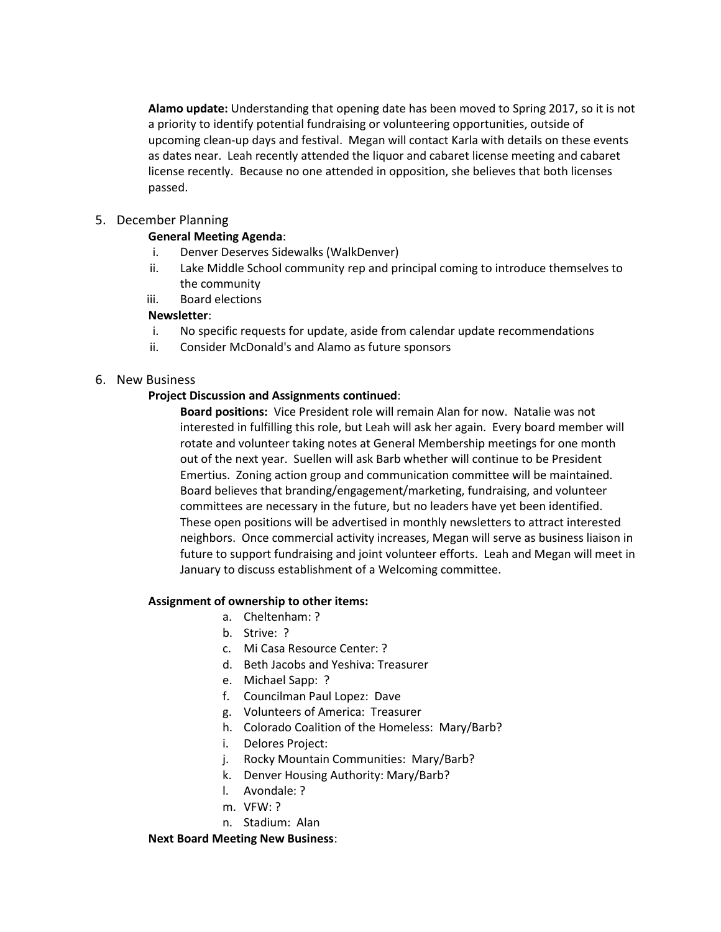**Alamo update:** Understanding that opening date has been moved to Spring 2017, so it is not a priority to identify potential fundraising or volunteering opportunities, outside of upcoming clean-up days and festival. Megan will contact Karla with details on these events as dates near. Leah recently attended the liquor and cabaret license meeting and cabaret license recently. Because no one attended in opposition, she believes that both licenses passed.

## 5. December Planning

## **General Meeting Agenda**:

- i. Denver Deserves Sidewalks (WalkDenver)
- ii. Lake Middle School community rep and principal coming to introduce themselves to the community
- iii. Board elections

# **Newsletter**:

- i. No specific requests for update, aside from calendar update recommendations
- ii. Consider McDonald's and Alamo as future sponsors

## 6. New Business

## **Project Discussion and Assignments continued**:

**Board positions:** Vice President role will remain Alan for now. Natalie was not interested in fulfilling this role, but Leah will ask her again. Every board member will rotate and volunteer taking notes at General Membership meetings for one month out of the next year. Suellen will ask Barb whether will continue to be President Emertius. Zoning action group and communication committee will be maintained. Board believes that branding/engagement/marketing, fundraising, and volunteer committees are necessary in the future, but no leaders have yet been identified. These open positions will be advertised in monthly newsletters to attract interested neighbors. Once commercial activity increases, Megan will serve as business liaison in future to support fundraising and joint volunteer efforts. Leah and Megan will meet in January to discuss establishment of a Welcoming committee.

## **Assignment of ownership to other items:**

- a. Cheltenham: ?
- b. Strive: ?
- c. Mi Casa Resource Center: ?
- d. Beth Jacobs and Yeshiva: Treasurer
- e. Michael Sapp: ?
- f. Councilman Paul Lopez: Dave
- g. Volunteers of America: Treasurer
- h. Colorado Coalition of the Homeless: Mary/Barb?
- i. Delores Project:
- j. Rocky Mountain Communities: Mary/Barb?
- k. Denver Housing Authority: Mary/Barb?
- l. Avondale: ?
- m. VFW: ?
- n. Stadium: Alan

## **Next Board Meeting New Business**: